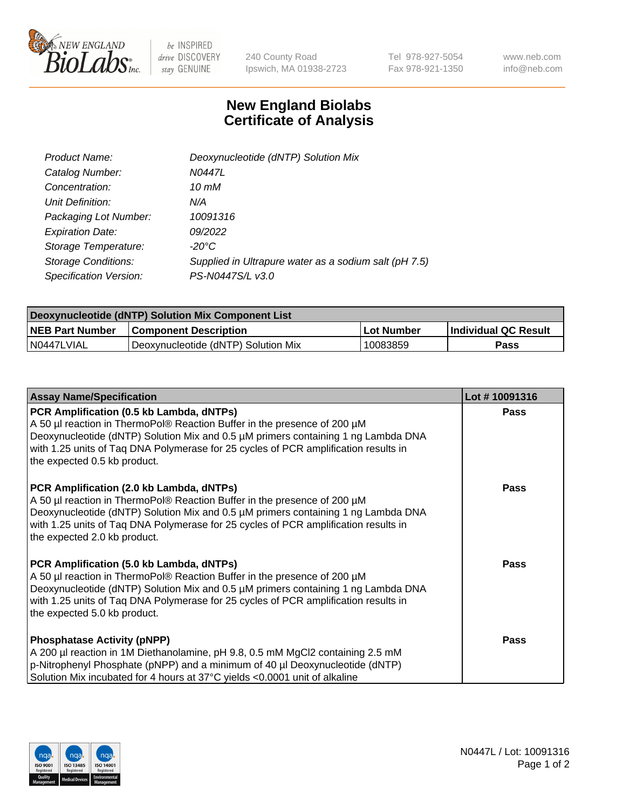

be INSPIRED drive DISCOVERY stay GENUINE

240 County Road Ipswich, MA 01938-2723 Tel 978-927-5054 Fax 978-921-1350 www.neb.com info@neb.com

## **New England Biolabs Certificate of Analysis**

| Product Name:              | Deoxynucleotide (dNTP) Solution Mix                   |
|----------------------------|-------------------------------------------------------|
| Catalog Number:            | N0447L                                                |
| Concentration:             | 10 mM                                                 |
| Unit Definition:           | N/A                                                   |
| Packaging Lot Number:      | 10091316                                              |
| <b>Expiration Date:</b>    | 09/2022                                               |
| Storage Temperature:       | $-20^{\circ}$ C                                       |
| <b>Storage Conditions:</b> | Supplied in Ultrapure water as a sodium salt (pH 7.5) |
| Specification Version:     | PS-N0447S/L v3.0                                      |

| Deoxynucleotide (dNTP) Solution Mix Component List |                                     |                   |                      |  |
|----------------------------------------------------|-------------------------------------|-------------------|----------------------|--|
| <b>NEB Part Number</b>                             | <b>Component Description</b>        | <b>Lot Number</b> | Individual QC Result |  |
| I N0447LVIAL                                       | Deoxynucleotide (dNTP) Solution Mix | 10083859          | Pass                 |  |

| <b>Assay Name/Specification</b>                                                                                                                                                                                                                                                                                                  | Lot #10091316 |
|----------------------------------------------------------------------------------------------------------------------------------------------------------------------------------------------------------------------------------------------------------------------------------------------------------------------------------|---------------|
| PCR Amplification (0.5 kb Lambda, dNTPs)<br>A 50 µl reaction in ThermoPol® Reaction Buffer in the presence of 200 µM<br>Deoxynucleotide (dNTP) Solution Mix and 0.5 µM primers containing 1 ng Lambda DNA<br>with 1.25 units of Taq DNA Polymerase for 25 cycles of PCR amplification results in<br>the expected 0.5 kb product. | <b>Pass</b>   |
| PCR Amplification (2.0 kb Lambda, dNTPs)<br>A 50 µl reaction in ThermoPol® Reaction Buffer in the presence of 200 µM<br>Deoxynucleotide (dNTP) Solution Mix and 0.5 µM primers containing 1 ng Lambda DNA<br>with 1.25 units of Taq DNA Polymerase for 25 cycles of PCR amplification results in<br>the expected 2.0 kb product. | <b>Pass</b>   |
| PCR Amplification (5.0 kb Lambda, dNTPs)<br>A 50 µl reaction in ThermoPol® Reaction Buffer in the presence of 200 µM<br>Deoxynucleotide (dNTP) Solution Mix and 0.5 µM primers containing 1 ng Lambda DNA<br>with 1.25 units of Taq DNA Polymerase for 25 cycles of PCR amplification results in<br>the expected 5.0 kb product. | <b>Pass</b>   |
| <b>Phosphatase Activity (pNPP)</b><br>A 200 µl reaction in 1M Diethanolamine, pH 9.8, 0.5 mM MgCl2 containing 2.5 mM<br>p-Nitrophenyl Phosphate (pNPP) and a minimum of 40 µl Deoxynucleotide (dNTP)<br>Solution Mix incubated for 4 hours at 37°C yields <0.0001 unit of alkaline                                               | Pass          |